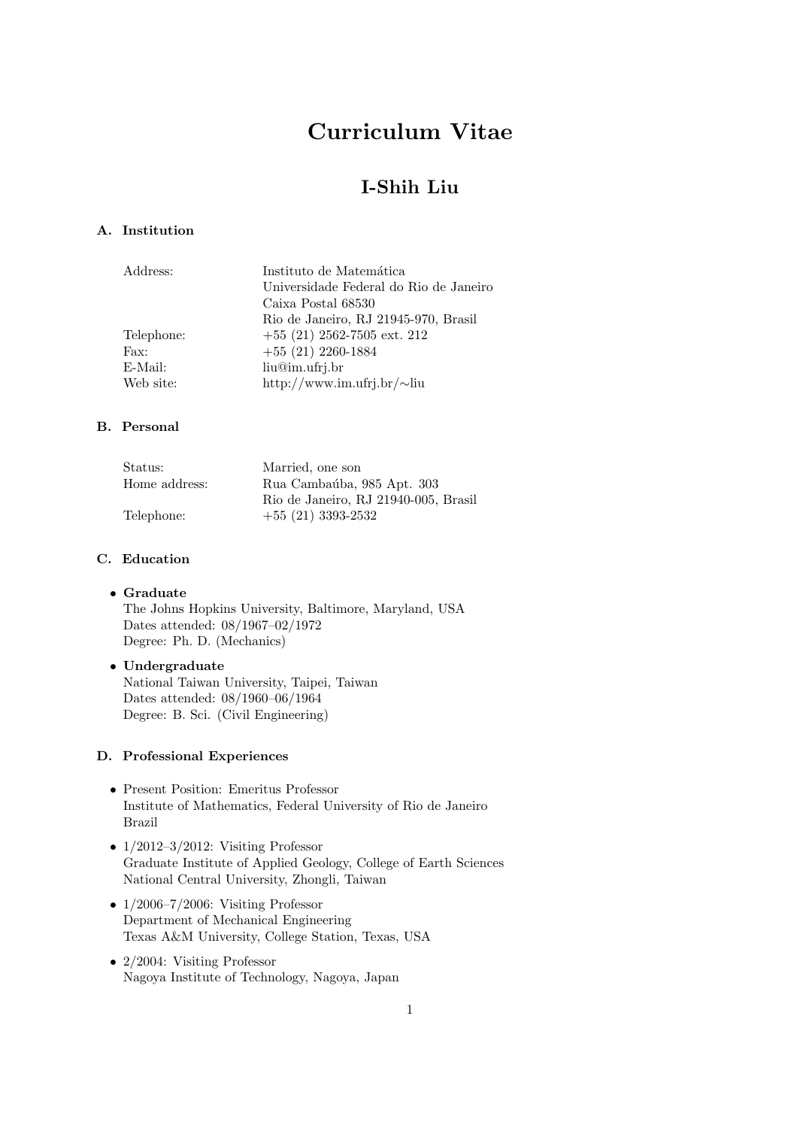# Curriculum Vitae

## I-Shih Liu

## A. Institution

| Universidade Federal do Rio de Janeiro |
|----------------------------------------|
|                                        |
|                                        |
|                                        |
|                                        |
|                                        |
|                                        |
|                                        |

## B. Personal

| Status:       | Married, one son                     |
|---------------|--------------------------------------|
| Home address: | Rua Cambaúba, 985 Apt. 303           |
|               | Rio de Janeiro, RJ 21940-005, Brasil |
| Telephone:    | $+55(21)$ 3393-2532                  |

#### C. Education

## • Graduate

The Johns Hopkins University, Baltimore, Maryland, USA Dates attended: 08/1967–02/1972 Degree: Ph. D. (Mechanics)

## • Undergraduate

National Taiwan University, Taipei, Taiwan Dates attended: 08/1960–06/1964 Degree: B. Sci. (Civil Engineering)

## D. Professional Experiences

- Present Position: Emeritus Professor Institute of Mathematics, Federal University of Rio de Janeiro Brazil
- $1/2012-3/2012$ : Visiting Professor Graduate Institute of Applied Geology, College of Earth Sciences National Central University, Zhongli, Taiwan
- $1/2006-7/2006$ : Visiting Professor Department of Mechanical Engineering Texas A&M University, College Station, Texas, USA
- 2/2004: Visiting Professor Nagoya Institute of Technology, Nagoya, Japan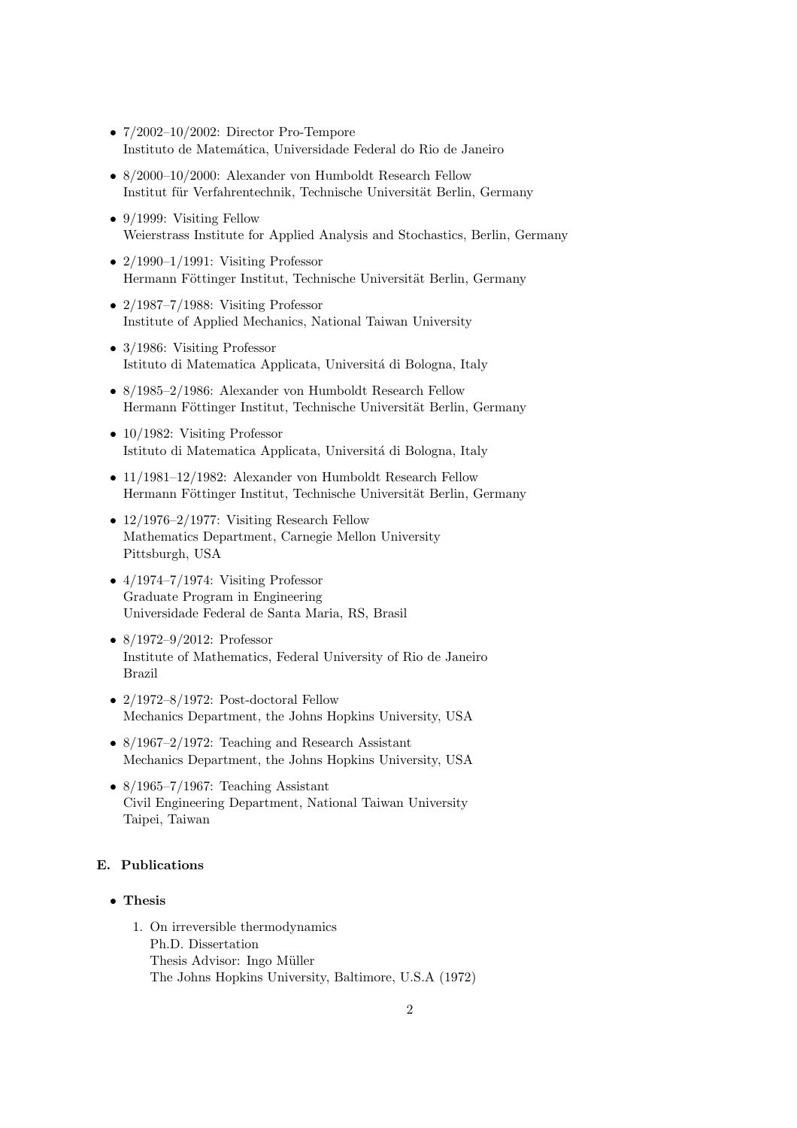- $7/2002-10/2002$ : Director Pro-Tempore Instituto de Matem´atica, Universidade Federal do Rio de Janeiro
- 8/2000–10/2000: Alexander von Humboldt Research Fellow Institut für Verfahrentechnik, Technische Universität Berlin, Germany
- 9/1999: Visiting Fellow Weierstrass Institute for Applied Analysis and Stochastics, Berlin, Germany
- $2/1990-1/1991$ : Visiting Professor Hermann Föttinger Institut, Technische Universität Berlin, Germany
- $2/1987-7/1988$ : Visiting Professor Institute of Applied Mechanics, National Taiwan University
- 3/1986: Visiting Professor Istituto di Matematica Applicata, Universitá di Bologna, Italy
- 8/1985–2/1986: Alexander von Humboldt Research Fellow Hermann Föttinger Institut, Technische Universität Berlin, Germany
- 10/1982: Visiting Professor Istituto di Matematica Applicata, Università di Bologna, Italy
- 11/1981–12/1982: Alexander von Humboldt Research Fellow Hermann Föttinger Institut, Technische Universität Berlin, Germany
- 12/1976–2/1977: Visiting Research Fellow Mathematics Department, Carnegie Mellon University Pittsburgh, USA
- $4/1974-7/1974$ : Visiting Professor Graduate Program in Engineering Universidade Federal de Santa Maria, RS, Brasil
- 8/1972–9/2012: Professor Institute of Mathematics, Federal University of Rio de Janeiro Brazil
- $2/1972-8/1972$ : Post-doctoral Fellow Mechanics Department, the Johns Hopkins University, USA
- 8/1967–2/1972: Teaching and Research Assistant Mechanics Department, the Johns Hopkins University, USA
- $8/1965-7/1967$ : Teaching Assistant Civil Engineering Department, National Taiwan University Taipei, Taiwan

## E. Publications

## • Thesis

1. On irreversible thermodynamics Ph.D. Dissertation Thesis Advisor: Ingo Müller The Johns Hopkins University, Baltimore, U.S.A (1972)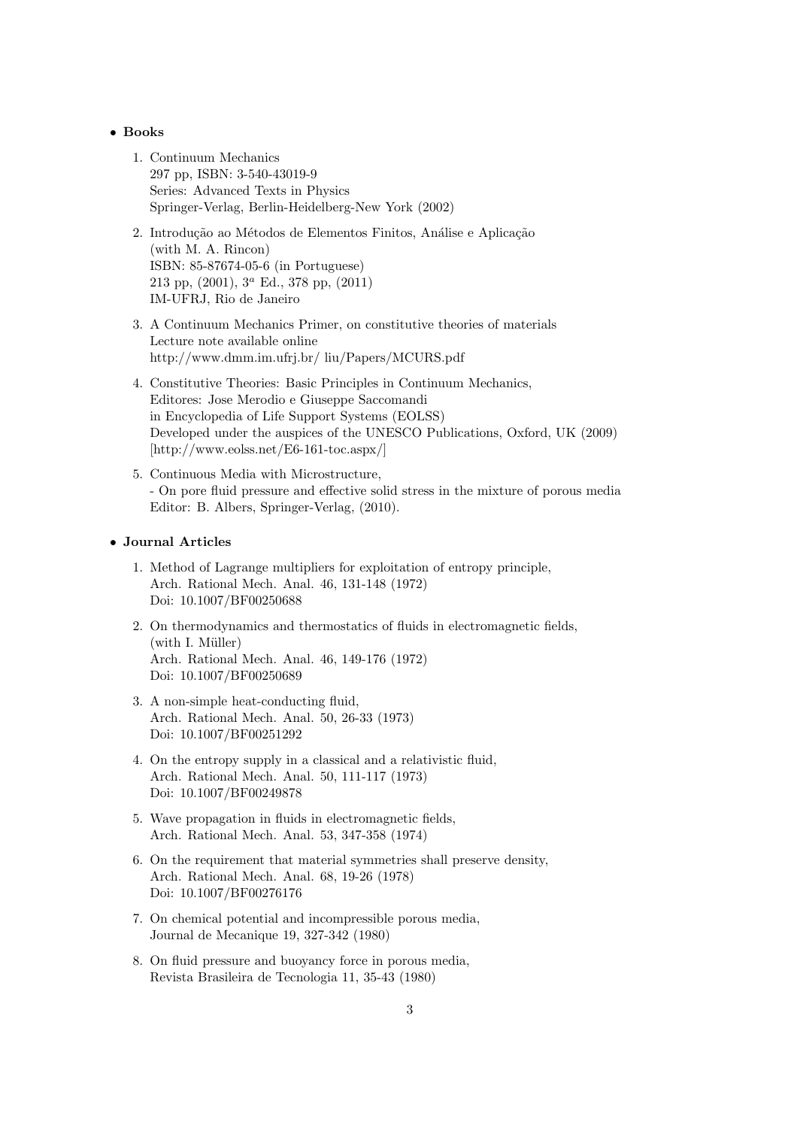#### • Books

- 1. Continuum Mechanics 297 pp, ISBN: 3-540-43019-9 Series: Advanced Texts in Physics Springer-Verlag, Berlin-Heidelberg-New York (2002)
- 2. Introdução ao Métodos de Elementos Finitos, Análise e Aplicação (with M. A. Rincon) ISBN: 85-87674-05-6 (in Portuguese) 213 pp, (2001), 3<sup>a</sup> Ed., 378 pp, (2011) IM-UFRJ, Rio de Janeiro
- 3. A Continuum Mechanics Primer, on constitutive theories of materials Lecture note available online http://www.dmm.im.ufrj.br/ liu/Papers/MCURS.pdf
- 4. Constitutive Theories: Basic Principles in Continuum Mechanics, Editores: Jose Merodio e Giuseppe Saccomandi in Encyclopedia of Life Support Systems (EOLSS) Developed under the auspices of the UNESCO Publications, Oxford, UK (2009) [http://www.eolss.net/E6-161-toc.aspx/]
- 5. Continuous Media with Microstructure, - On pore fluid pressure and effective solid stress in the mixture of porous media Editor: B. Albers, Springer-Verlag, (2010).

#### • Journal Articles

- 1. Method of Lagrange multipliers for exploitation of entropy principle, Arch. Rational Mech. Anal. 46, 131-148 (1972) Doi: 10.1007/BF00250688
- 2. On thermodynamics and thermostatics of fluids in electromagnetic fields,  $(with I. Müller)$ Arch. Rational Mech. Anal. 46, 149-176 (1972) Doi: 10.1007/BF00250689
- 3. A non-simple heat-conducting fluid, Arch. Rational Mech. Anal. 50, 26-33 (1973) Doi: 10.1007/BF00251292
- 4. On the entropy supply in a classical and a relativistic fluid, Arch. Rational Mech. Anal. 50, 111-117 (1973) Doi: 10.1007/BF00249878
- 5. Wave propagation in fluids in electromagnetic fields, Arch. Rational Mech. Anal. 53, 347-358 (1974)
- 6. On the requirement that material symmetries shall preserve density, Arch. Rational Mech. Anal. 68, 19-26 (1978) Doi: 10.1007/BF00276176
- 7. On chemical potential and incompressible porous media, Journal de Mecanique 19, 327-342 (1980)
- 8. On fluid pressure and buoyancy force in porous media, Revista Brasileira de Tecnologia 11, 35-43 (1980)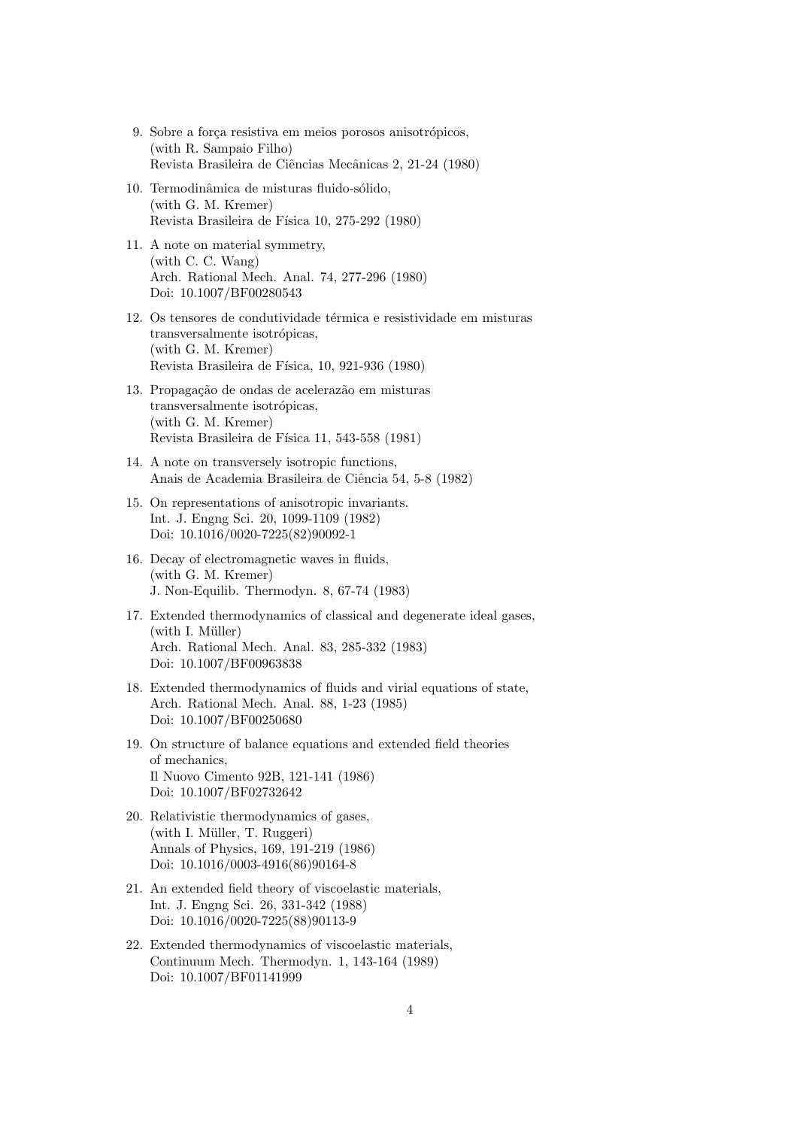- 9. Sobre a força resistiva em meios porosos anisotrópicos, (with R. Sampaio Filho) Revista Brasileira de Ciências Mecânicas 2, 21-24 (1980)
- 10. Termodinâmica de misturas fluido-sólido, (with G. M. Kremer) Revista Brasileira de Física 10, 275-292 (1980)
- 11. A note on material symmetry, (with C. C. Wang) Arch. Rational Mech. Anal. 74, 277-296 (1980) Doi: 10.1007/BF00280543
- 12. Os tensores de condutividade térmica e resistividade em misturas transversalmente isotrópicas, (with G. M. Kremer) Revista Brasileira de Física, 10, 921-936 (1980)
- 13. Propagação de ondas de acelerazão em misturas transversalmente isotrópicas, (with G. M. Kremer) Revista Brasileira de Física 11, 543-558 (1981)
- 14. A note on transversely isotropic functions, Anais de Academia Brasileira de Ciência 54, 5-8 (1982)
- 15. On representations of anisotropic invariants. Int. J. Engng Sci. 20, 1099-1109 (1982) Doi: 10.1016/0020-7225(82)90092-1
- 16. Decay of electromagnetic waves in fluids, (with G. M. Kremer) J. Non-Equilib. Thermodyn. 8, 67-74 (1983)
- 17. Extended thermodynamics of classical and degenerate ideal gases,  $(with I. Müller)$ Arch. Rational Mech. Anal. 83, 285-332 (1983) Doi: 10.1007/BF00963838
- 18. Extended thermodynamics of fluids and virial equations of state, Arch. Rational Mech. Anal. 88, 1-23 (1985) Doi: 10.1007/BF00250680
- 19. On structure of balance equations and extended field theories of mechanics, Il Nuovo Cimento 92B, 121-141 (1986) Doi: 10.1007/BF02732642
- 20. Relativistic thermodynamics of gases, (with I. Müller, T. Ruggeri) Annals of Physics, 169, 191-219 (1986) Doi: 10.1016/0003-4916(86)90164-8
- 21. An extended field theory of viscoelastic materials, Int. J. Engng Sci. 26, 331-342 (1988) Doi: 10.1016/0020-7225(88)90113-9
- 22. Extended thermodynamics of viscoelastic materials, Continuum Mech. Thermodyn. 1, 143-164 (1989) Doi: 10.1007/BF01141999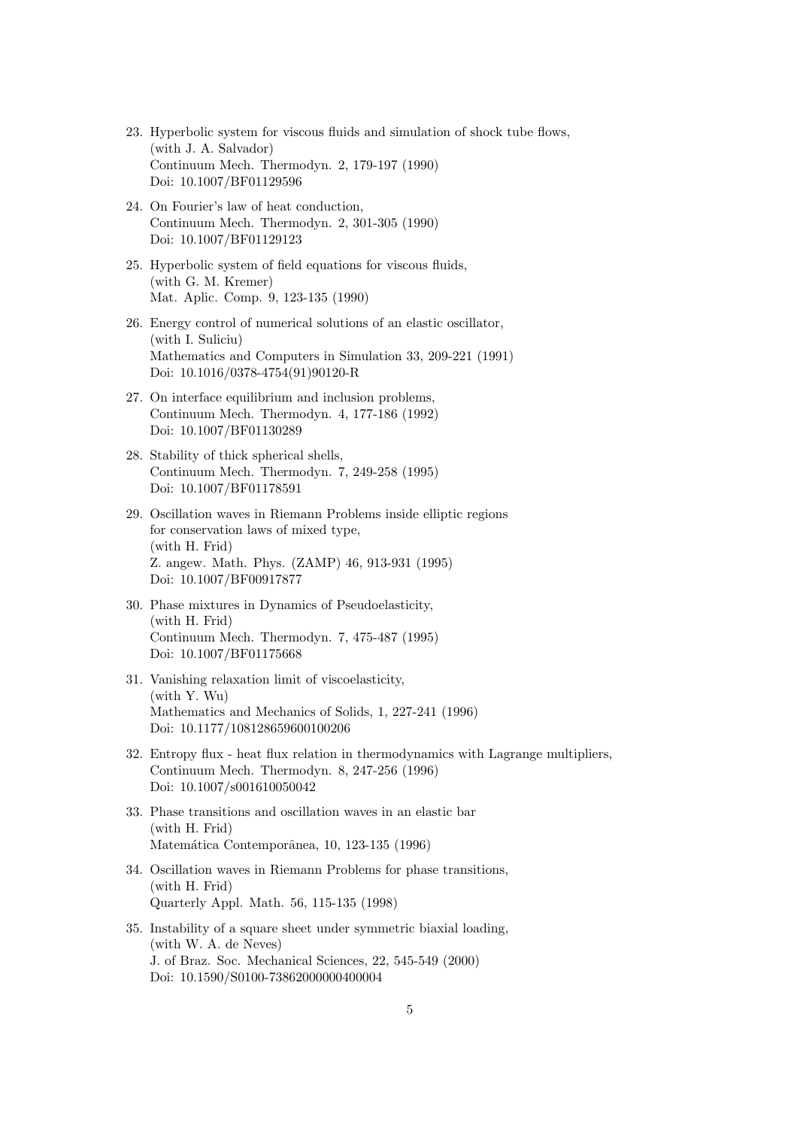- 23. Hyperbolic system for viscous fluids and simulation of shock tube flows, (with J. A. Salvador) Continuum Mech. Thermodyn. 2, 179-197 (1990) Doi: 10.1007/BF01129596
- 24. On Fourier's law of heat conduction, Continuum Mech. Thermodyn. 2, 301-305 (1990) Doi: 10.1007/BF01129123
- 25. Hyperbolic system of field equations for viscous fluids, (with G. M. Kremer) Mat. Aplic. Comp. 9, 123-135 (1990)
- 26. Energy control of numerical solutions of an elastic oscillator, (with I. Suliciu) Mathematics and Computers in Simulation 33, 209-221 (1991) Doi: 10.1016/0378-4754(91)90120-R
- 27. On interface equilibrium and inclusion problems, Continuum Mech. Thermodyn. 4, 177-186 (1992) Doi: 10.1007/BF01130289
- 28. Stability of thick spherical shells, Continuum Mech. Thermodyn. 7, 249-258 (1995) Doi: 10.1007/BF01178591
- 29. Oscillation waves in Riemann Problems inside elliptic regions for conservation laws of mixed type, (with H. Frid) Z. angew. Math. Phys. (ZAMP) 46, 913-931 (1995) Doi: 10.1007/BF00917877
- 30. Phase mixtures in Dynamics of Pseudoelasticity, (with H. Frid) Continuum Mech. Thermodyn. 7, 475-487 (1995) Doi: 10.1007/BF01175668
- 31. Vanishing relaxation limit of viscoelasticity, (with Y. Wu) Mathematics and Mechanics of Solids, 1, 227-241 (1996) Doi: 10.1177/108128659600100206
- 32. Entropy flux heat flux relation in thermodynamics with Lagrange multipliers, Continuum Mech. Thermodyn. 8, 247-256 (1996) Doi: 10.1007/s001610050042
- 33. Phase transitions and oscillation waves in an elastic bar (with H. Frid) Matemática Contemporânea, 10, 123-135 (1996)
- 34. Oscillation waves in Riemann Problems for phase transitions, (with H. Frid) Quarterly Appl. Math. 56, 115-135 (1998)
- 35. Instability of a square sheet under symmetric biaxial loading, (with W. A. de Neves) J. of Braz. Soc. Mechanical Sciences, 22, 545-549 (2000) Doi: 10.1590/S0100-73862000000400004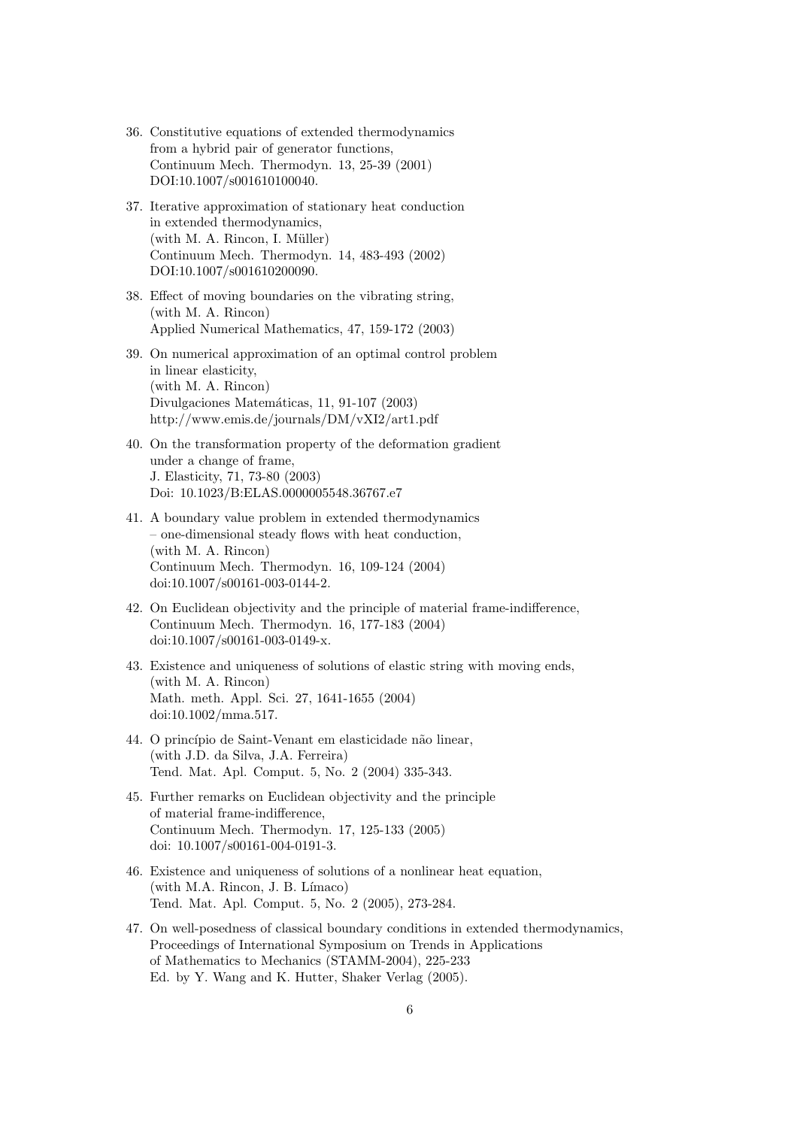- 36. Constitutive equations of extended thermodynamics from a hybrid pair of generator functions, Continuum Mech. Thermodyn. 13, 25-39 (2001) DOI:10.1007/s001610100040.
- 37. Iterative approximation of stationary heat conduction in extended thermodynamics,  $(with M. A. Rincon, I. Müller)$ Continuum Mech. Thermodyn. 14, 483-493 (2002) DOI:10.1007/s001610200090.
- 38. Effect of moving boundaries on the vibrating string, (with M. A. Rincon) Applied Numerical Mathematics, 47, 159-172 (2003)
- 39. On numerical approximation of an optimal control problem in linear elasticity, (with M. A. Rincon) Divulgaciones Matemáticas, 11, 91-107 (2003) http://www.emis.de/journals/DM/vXI2/art1.pdf
- 40. On the transformation property of the deformation gradient under a change of frame, J. Elasticity, 71, 73-80 (2003) Doi: 10.1023/B:ELAS.0000005548.36767.e7
- 41. A boundary value problem in extended thermodynamics – one-dimensional steady flows with heat conduction, (with M. A. Rincon) Continuum Mech. Thermodyn. 16, 109-124 (2004) doi:10.1007/s00161-003-0144-2.
- 42. On Euclidean objectivity and the principle of material frame-indifference, Continuum Mech. Thermodyn. 16, 177-183 (2004) doi:10.1007/s00161-003-0149-x.
- 43. Existence and uniqueness of solutions of elastic string with moving ends, (with M. A. Rincon) Math. meth. Appl. Sci. 27, 1641-1655 (2004) doi:10.1002/mma.517.
- 44. O princípio de Saint-Venant em elasticidade não linear, (with J.D. da Silva, J.A. Ferreira) Tend. Mat. Apl. Comput. 5, No. 2 (2004) 335-343.
- 45. Further remarks on Euclidean objectivity and the principle of material frame-indifference, Continuum Mech. Thermodyn. 17, 125-133 (2005) doi: 10.1007/s00161-004-0191-3.
- 46. Existence and uniqueness of solutions of a nonlinear heat equation,  $(with M.A. Rincon, J. B. Límaco)$ Tend. Mat. Apl. Comput. 5, No. 2 (2005), 273-284.
- 47. On well-posedness of classical boundary conditions in extended thermodynamics, Proceedings of International Symposium on Trends in Applications of Mathematics to Mechanics (STAMM-2004), 225-233 Ed. by Y. Wang and K. Hutter, Shaker Verlag (2005).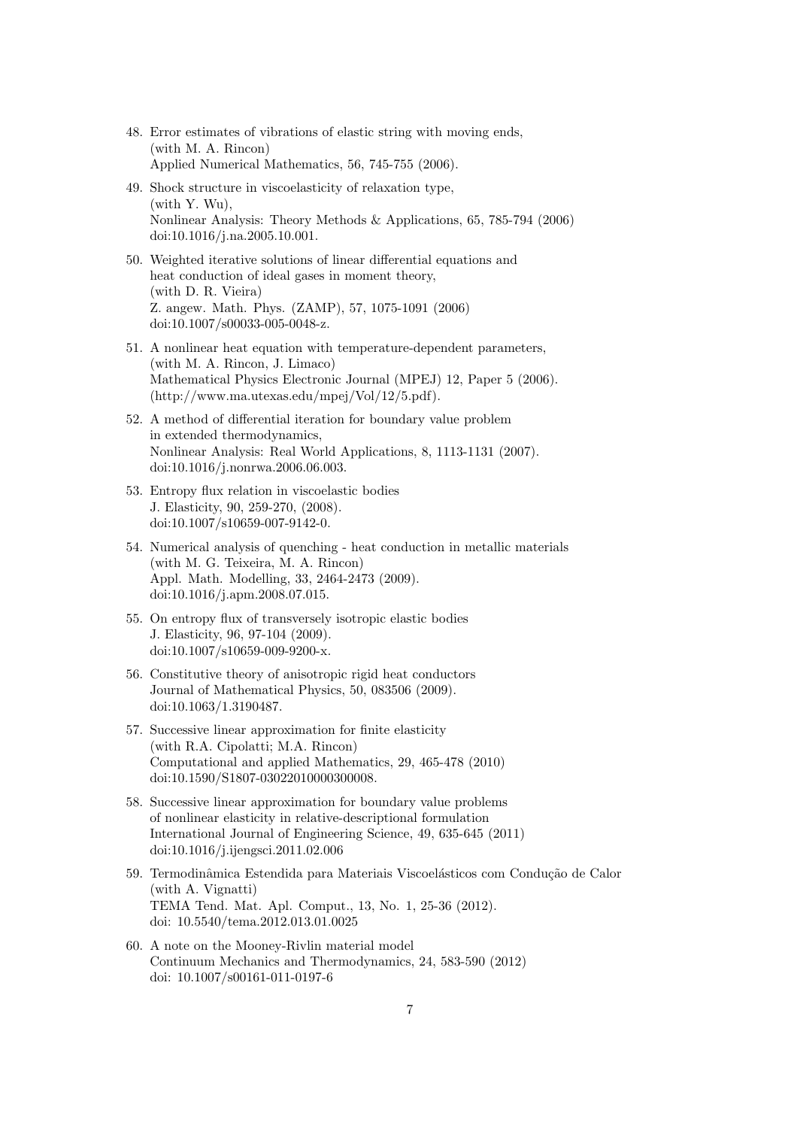- 48. Error estimates of vibrations of elastic string with moving ends, (with M. A. Rincon) Applied Numerical Mathematics, 56, 745-755 (2006).
- 49. Shock structure in viscoelasticity of relaxation type, (with Y. Wu), Nonlinear Analysis: Theory Methods & Applications, 65, 785-794 (2006) doi:10.1016/j.na.2005.10.001.
- 50. Weighted iterative solutions of linear differential equations and heat conduction of ideal gases in moment theory, (with D. R. Vieira) Z. angew. Math. Phys. (ZAMP), 57, 1075-1091 (2006) doi:10.1007/s00033-005-0048-z.
- 51. A nonlinear heat equation with temperature-dependent parameters, (with M. A. Rincon, J. Limaco) Mathematical Physics Electronic Journal (MPEJ) 12, Paper 5 (2006). (http://www.ma.utexas.edu/mpej/Vol/12/5.pdf).
- 52. A method of differential iteration for boundary value problem in extended thermodynamics, Nonlinear Analysis: Real World Applications, 8, 1113-1131 (2007). doi:10.1016/j.nonrwa.2006.06.003.
- 53. Entropy flux relation in viscoelastic bodies J. Elasticity, 90, 259-270, (2008). doi:10.1007/s10659-007-9142-0.
- 54. Numerical analysis of quenching heat conduction in metallic materials (with M. G. Teixeira, M. A. Rincon) Appl. Math. Modelling, 33, 2464-2473 (2009). doi:10.1016/j.apm.2008.07.015.
- 55. On entropy flux of transversely isotropic elastic bodies J. Elasticity, 96, 97-104 (2009). doi:10.1007/s10659-009-9200-x.
- 56. Constitutive theory of anisotropic rigid heat conductors Journal of Mathematical Physics, 50, 083506 (2009). doi:10.1063/1.3190487.
- 57. Successive linear approximation for finite elasticity (with R.A. Cipolatti; M.A. Rincon) Computational and applied Mathematics, 29, 465-478 (2010) doi:10.1590/S1807-03022010000300008.
- 58. Successive linear approximation for boundary value problems of nonlinear elasticity in relative-descriptional formulation International Journal of Engineering Science, 49, 635-645 (2011) doi:10.1016/j.ijengsci.2011.02.006
- 59. Termodinâmica Estendida para Materiais Viscoelásticos com Condução de Calor (with A. Vignatti) TEMA Tend. Mat. Apl. Comput., 13, No. 1, 25-36 (2012). doi: 10.5540/tema.2012.013.01.0025
- 60. A note on the Mooney-Rivlin material model Continuum Mechanics and Thermodynamics, 24, 583-590 (2012) doi: 10.1007/s00161-011-0197-6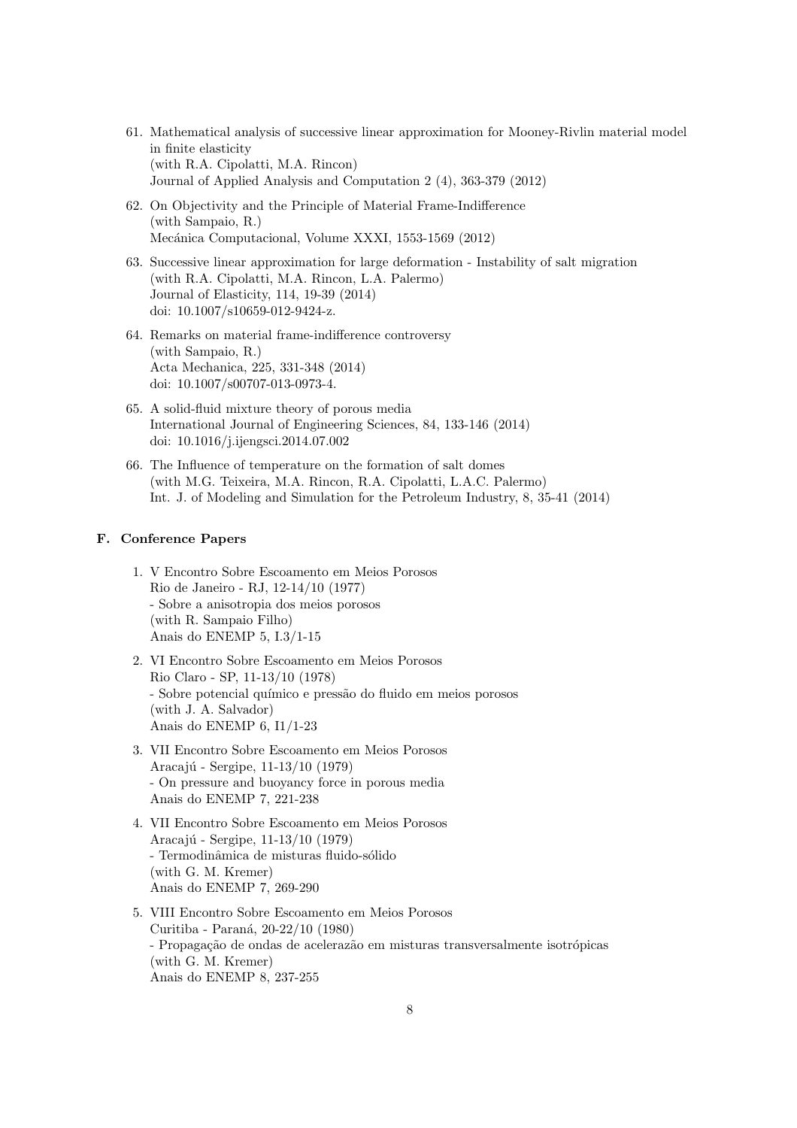- 61. Mathematical analysis of successive linear approximation for Mooney-Rivlin material model in finite elasticity (with R.A. Cipolatti, M.A. Rincon) Journal of Applied Analysis and Computation 2 (4), 363-379 (2012)
- 62. On Objectivity and the Principle of Material Frame-Indifference (with Sampaio, R.) Mecánica Computacional, Volume XXXI, 1553-1569 (2012)
- 63. Successive linear approximation for large deformation Instability of salt migration (with R.A. Cipolatti, M.A. Rincon, L.A. Palermo) Journal of Elasticity, 114, 19-39 (2014) doi: 10.1007/s10659-012-9424-z.
- 64. Remarks on material frame-indifference controversy (with Sampaio, R.) Acta Mechanica, 225, 331-348 (2014) doi: 10.1007/s00707-013-0973-4.
- 65. A solid-fluid mixture theory of porous media International Journal of Engineering Sciences, 84, 133-146 (2014) doi: 10.1016/j.ijengsci.2014.07.002
- 66. The Influence of temperature on the formation of salt domes (with M.G. Teixeira, M.A. Rincon, R.A. Cipolatti, L.A.C. Palermo) Int. J. of Modeling and Simulation for the Petroleum Industry, 8, 35-41 (2014)

#### F. Conference Papers

- 1. V Encontro Sobre Escoamento em Meios Porosos Rio de Janeiro - RJ, 12-14/10 (1977) - Sobre a anisotropia dos meios porosos (with R. Sampaio Filho) Anais do ENEMP 5, I.3/1-15
- 2. VI Encontro Sobre Escoamento em Meios Porosos Rio Claro - SP, 11-13/10 (1978) - Sobre potencial químico e pressão do fluido em meios porosos (with J. A. Salvador) Anais do ENEMP 6, I1/1-23
- 3. VII Encontro Sobre Escoamento em Meios Porosos Aracajú - Sergipe, 11-13/10 (1979) - On pressure and buoyancy force in porous media Anais do ENEMP 7, 221-238
- 4. VII Encontro Sobre Escoamento em Meios Porosos Aracajú - Sergipe, 11-13/10 (1979) - Termodinâmica de misturas fluido-sólido (with G. M. Kremer) Anais do ENEMP 7, 269-290
- 5. VIII Encontro Sobre Escoamento em Meios Porosos Curitiba - Paraná, 20-22/10 (1980) - Propagação de ondas de acelerazão em misturas transversalmente isotrópicas (with G. M. Kremer) Anais do ENEMP 8, 237-255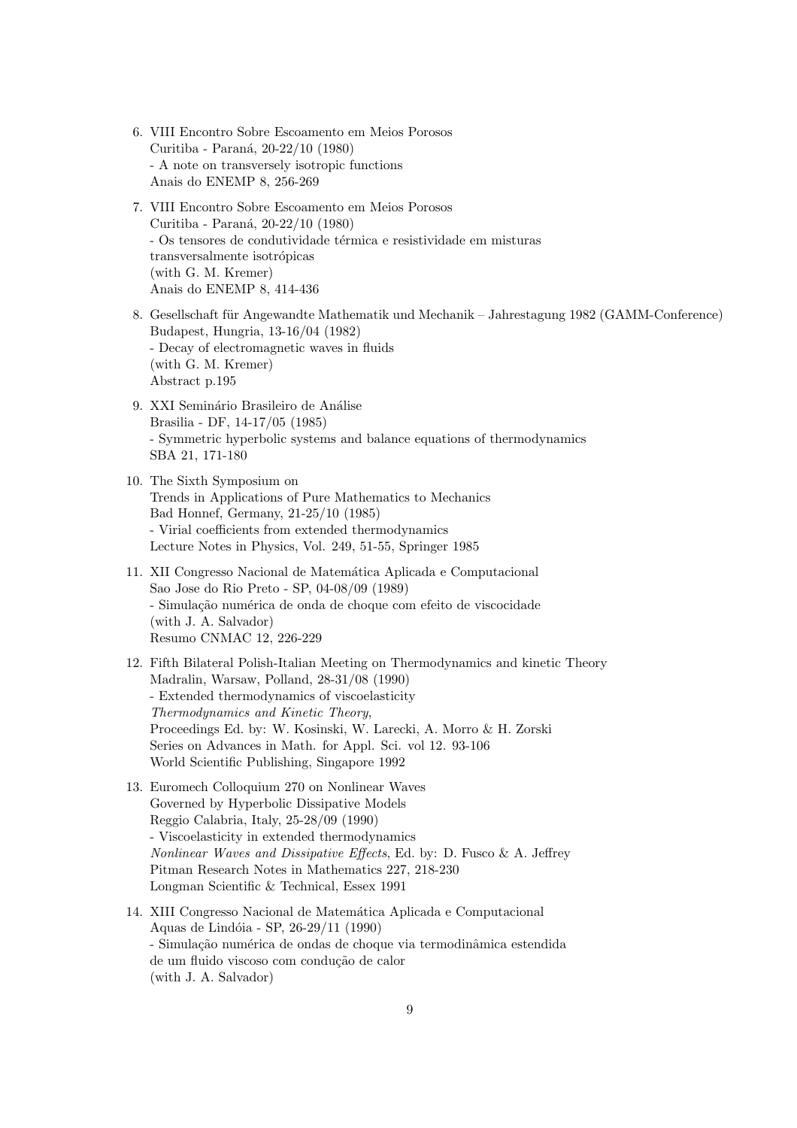- 6. VIII Encontro Sobre Escoamento em Meios Porosos Curitiba - Paraná, 20-22/10 (1980) - A note on transversely isotropic functions Anais do ENEMP 8, 256-269
- 7. VIII Encontro Sobre Escoamento em Meios Porosos Curitiba - Paraná, 20-22/10 (1980) - Os tensores de condutividade térmica e resistividade em misturas transversalmente isotrópicas (with G. M. Kremer) Anais do ENEMP 8, 414-436
- 8. Gesellschaft für Angewandte Mathematik und Mechanik Jahrestagung 1982 (GAMM-Conference) Budapest, Hungria, 13-16/04 (1982) - Decay of electromagnetic waves in fluids (with G. M. Kremer) Abstract p.195
- 9. XXI Seminário Brasileiro de Análise Brasilia - DF, 14-17/05 (1985) - Symmetric hyperbolic systems and balance equations of thermodynamics SBA 21, 171-180
- 10. The Sixth Symposium on Trends in Applications of Pure Mathematics to Mechanics Bad Honnef, Germany, 21-25/10 (1985) - Virial coefficients from extended thermodynamics Lecture Notes in Physics, Vol. 249, 51-55, Springer 1985
- 11. XII Congresso Nacional de Matemática Aplicada e Computacional Sao Jose do Rio Preto - SP, 04-08/09 (1989) - Simulação numérica de onda de choque com efeito de viscocidade (with J. A. Salvador) Resumo CNMAC 12, 226-229
- 12. Fifth Bilateral Polish-Italian Meeting on Thermodynamics and kinetic Theory Madralin, Warsaw, Polland, 28-31/08 (1990) - Extended thermodynamics of viscoelasticity Thermodynamics and Kinetic Theory, Proceedings Ed. by: W. Kosinski, W. Larecki, A. Morro & H. Zorski Series on Advances in Math. for Appl. Sci. vol 12. 93-106 World Scientific Publishing, Singapore 1992
- 13. Euromech Colloquium 270 on Nonlinear Waves Governed by Hyperbolic Dissipative Models Reggio Calabria, Italy, 25-28/09 (1990) - Viscoelasticity in extended thermodynamics Nonlinear Waves and Dissipative Effects, Ed. by: D. Fusco & A. Jeffrey Pitman Research Notes in Mathematics 227, 218-230 Longman Scientific & Technical, Essex 1991
- 14. XIII Congresso Nacional de Matemática Aplicada e Computacional Aquas de Lindóia - SP, 26-29/11 (1990) - Simulação numérica de ondas de choque via termodinâmica estendida de um fluido viscoso com condução de calor (with J. A. Salvador)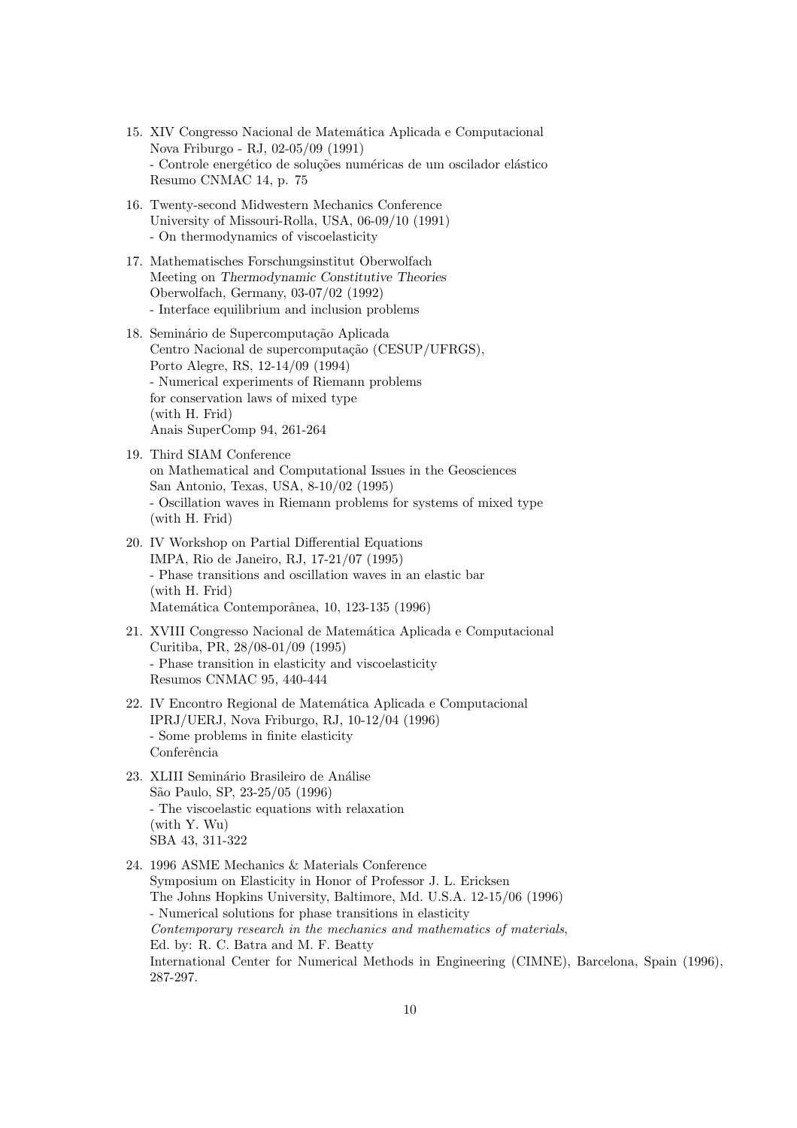- 15. XIV Congresso Nacional de Matemática Aplicada e Computacional Nova Friburgo - RJ, 02-05/09 (1991) - Controle energético de soluções numéricas de um oscilador elástico Resumo CNMAC 14, p. 75
- 16. Twenty-second Midwestern Mechanics Conference University of Missouri-Rolla, USA, 06-09/10 (1991) - On thermodynamics of viscoelasticity
- 17. Mathematisches Forschungsinstitut Oberwolfach Meeting on Thermodynamic Constitutive Theories Oberwolfach, Germany, 03-07/02 (1992) - Interface equilibrium and inclusion problems
- 18. Seminário de Supercomputação Aplicada Centro Nacional de supercomputação (CESUP/UFRGS), Porto Alegre, RS, 12-14/09 (1994) - Numerical experiments of Riemann problems for conservation laws of mixed type (with H. Frid) Anais SuperComp 94, 261-264
- 19. Third SIAM Conference on Mathematical and Computational Issues in the Geosciences San Antonio, Texas, USA, 8-10/02 (1995) - Oscillation waves in Riemann problems for systems of mixed type (with H. Frid)
- 20. IV Workshop on Partial Differential Equations IMPA, Rio de Janeiro, RJ, 17-21/07 (1995) - Phase transitions and oscillation waves in an elastic bar (with H. Frid) Matemática Contemporânea, 10, 123-135 (1996)
- 21. XVIII Congresso Nacional de Matem´atica Aplicada e Computacional Curitiba, PR, 28/08-01/09 (1995) - Phase transition in elasticity and viscoelasticity Resumos CNMAC 95, 440-444
- 22. IV Encontro Regional de Matemática Aplicada e Computacional IPRJ/UERJ, Nova Friburgo, RJ, 10-12/04 (1996) - Some problems in finite elasticity Conferência
- 23. XLIII Seminário Brasileiro de Análise São Paulo, SP, 23-25/05 (1996) - The viscoelastic equations with relaxation (with Y. Wu) SBA 43, 311-322
- 24. 1996 ASME Mechanics & Materials Conference Symposium on Elasticity in Honor of Professor J. L. Ericksen The Johns Hopkins University, Baltimore, Md. U.S.A. 12-15/06 (1996) - Numerical solutions for phase transitions in elasticity Contemporary research in the mechanics and mathematics of materials, Ed. by: R. C. Batra and M. F. Beatty International Center for Numerical Methods in Engineering (CIMNE), Barcelona, Spain (1996), 287-297.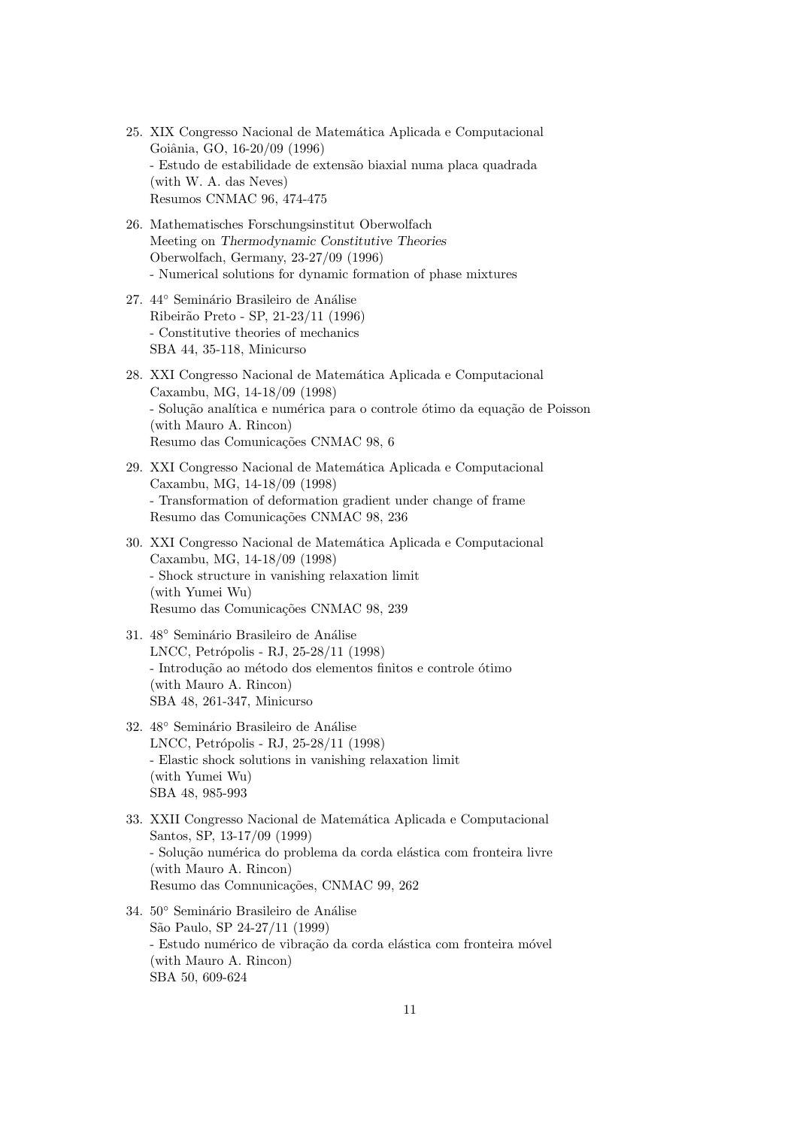- 25. XIX Congresso Nacional de Matemática Aplicada e Computacional Goiânia, GO, 16-20/09 (1996) - Estudo de estabilidade de extens˜ao biaxial numa placa quadrada (with W. A. das Neves) Resumos CNMAC 96, 474-475
- 26. Mathematisches Forschungsinstitut Oberwolfach Meeting on Thermodynamic Constitutive Theories Oberwolfach, Germany, 23-27/09 (1996) - Numerical solutions for dynamic formation of phase mixtures
- 27. 44° Seminário Brasileiro de Análise Ribeir˜ao Preto - SP, 21-23/11 (1996) - Constitutive theories of mechanics SBA 44, 35-118, Minicurso
- 28. XXI Congresso Nacional de Matemática Aplicada e Computacional Caxambu, MG, 14-18/09 (1998) - Solução analítica e numérica para o controle ótimo da equação de Poisson (with Mauro A. Rincon) Resumo das Comunicações CNMAC 98, 6
- 29. XXI Congresso Nacional de Matemática Aplicada e Computacional Caxambu, MG, 14-18/09 (1998) - Transformation of deformation gradient under change of frame Resumo das Comunicações CNMAC 98, 236
- 30. XXI Congresso Nacional de Matemática Aplicada e Computacional Caxambu, MG, 14-18/09 (1998) - Shock structure in vanishing relaxation limit (with Yumei Wu) Resumo das Comunicações CNMAC 98, 239
- 31. 48° Seminário Brasileiro de Análise LNCC, Petrópolis - RJ, 25-28/11 (1998) - Introdução ao método dos elementos finitos e controle ótimo (with Mauro A. Rincon) SBA 48, 261-347, Minicurso
- 32. 48° Seminário Brasileiro de Análise LNCC, Petrópolis - RJ, 25-28/11 (1998) - Elastic shock solutions in vanishing relaxation limit (with Yumei Wu) SBA 48, 985-993
- 33. XXII Congresso Nacional de Matemática Aplicada e Computacional Santos, SP, 13-17/09 (1999) - Solução numérica do problema da corda elástica com fronteira livre (with Mauro A. Rincon) Resumo das Comnunicações, CNMAC 99, 262
- 34. 50<sup>◦</sup> Seminário Brasileiro de Análise São Paulo, SP 24-27/11 (1999) - Estudo numérico de vibração da corda elástica com fronteira móvel (with Mauro A. Rincon) SBA 50, 609-624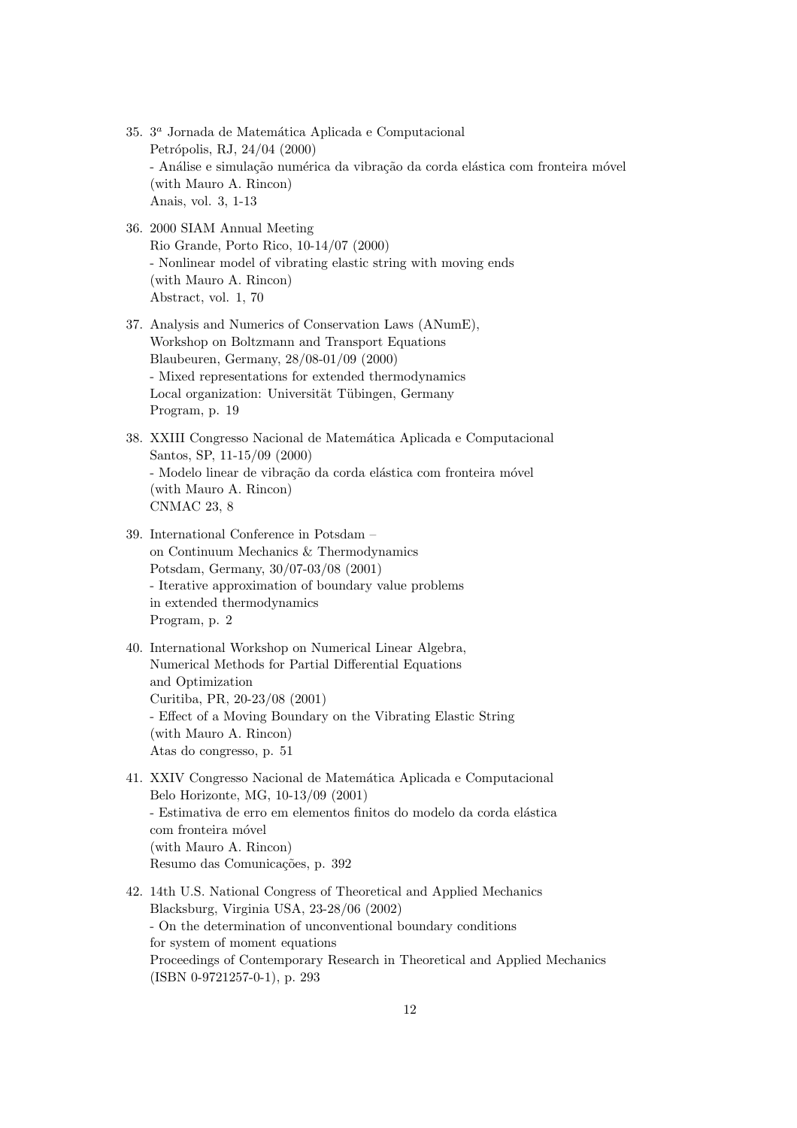- 35.  $3<sup>a</sup>$  Jornada de Matemática Aplicada e Computacional Petrópolis, RJ, 24/04 (2000) - Análise e simulação numérica da vibração da corda elástica com fronteira móvel (with Mauro A. Rincon) Anais, vol. 3, 1-13
- 36. 2000 SIAM Annual Meeting Rio Grande, Porto Rico, 10-14/07 (2000) - Nonlinear model of vibrating elastic string with moving ends (with Mauro A. Rincon) Abstract, vol. 1, 70
- 37. Analysis and Numerics of Conservation Laws (ANumE), Workshop on Boltzmann and Transport Equations Blaubeuren, Germany, 28/08-01/09 (2000) - Mixed representations for extended thermodynamics Local organization: Universität Tübingen, Germany Program, p. 19
- 38. XXIII Congresso Nacional de Matemática Aplicada e Computacional Santos, SP, 11-15/09 (2000) - Modelo linear de vibração da corda elástica com fronteira móvel (with Mauro A. Rincon) CNMAC 23, 8
- 39. International Conference in Potsdam on Continuum Mechanics & Thermodynamics Potsdam, Germany, 30/07-03/08 (2001) - Iterative approximation of boundary value problems in extended thermodynamics Program, p. 2
- 40. International Workshop on Numerical Linear Algebra, Numerical Methods for Partial Differential Equations and Optimization Curitiba, PR, 20-23/08 (2001) - Effect of a Moving Boundary on the Vibrating Elastic String (with Mauro A. Rincon) Atas do congresso, p. 51
- 41. XXIV Congresso Nacional de Matemática Aplicada e Computacional Belo Horizonte, MG, 10-13/09 (2001) - Estimativa de erro em elementos finitos do modelo da corda elástica com fronteira móvel (with Mauro A. Rincon) Resumo das Comunicações, p. 392
- 42. 14th U.S. National Congress of Theoretical and Applied Mechanics Blacksburg, Virginia USA, 23-28/06 (2002) - On the determination of unconventional boundary conditions for system of moment equations Proceedings of Contemporary Research in Theoretical and Applied Mechanics (ISBN 0-9721257-0-1), p. 293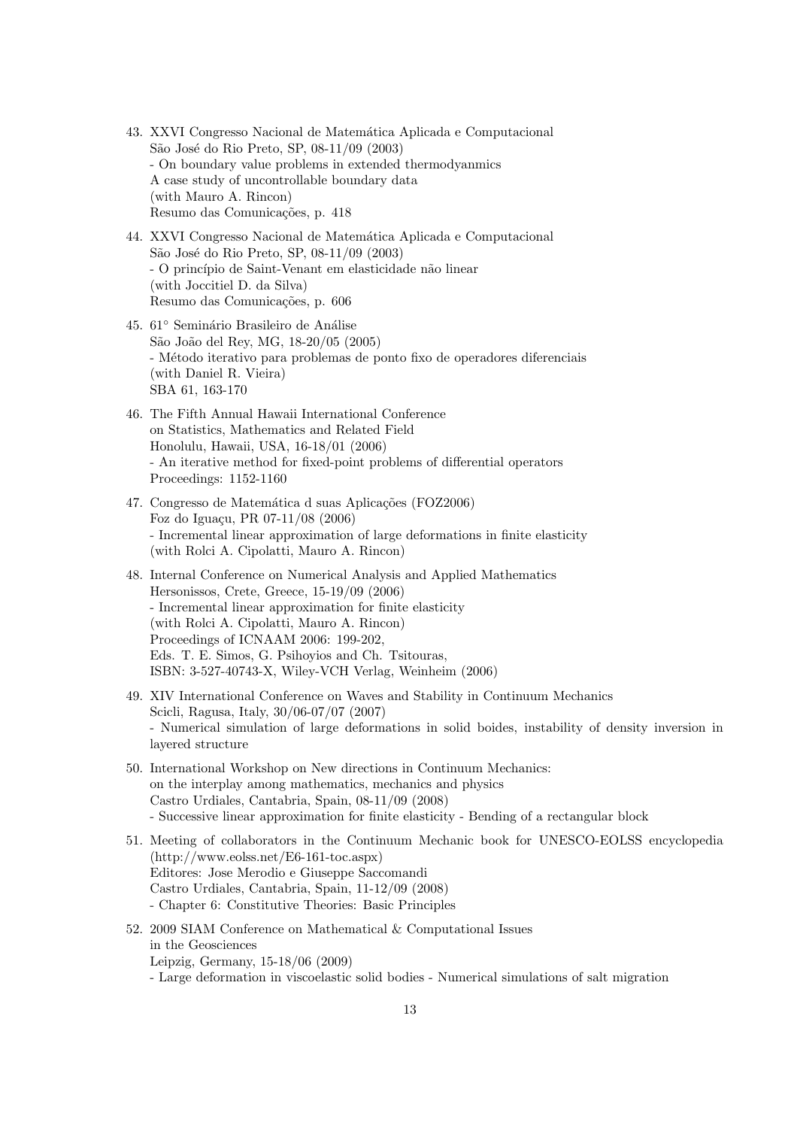- 43. XXVI Congresso Nacional de Matemática Aplicada e Computacional São José do Rio Preto, SP, 08-11/09 (2003) - On boundary value problems in extended thermodyanmics A case study of uncontrollable boundary data (with Mauro A. Rincon) Resumo das Comunicações, p. 418
- 44. XXVI Congresso Nacional de Matemática Aplicada e Computacional São José do Rio Preto, SP, 08-11/09 (2003) - O princ´ıpio de Saint-Venant em elasticidade n˜ao linear (with Joccitiel D. da Silva) Resumo das Comunicações, p. 606
- 45. 61° Seminário Brasileiro de Análise S˜ao Jo˜ao del Rey, MG, 18-20/05 (2005) - M´etodo iterativo para problemas de ponto fixo de operadores diferenciais (with Daniel R. Vieira) SBA 61, 163-170
- 46. The Fifth Annual Hawaii International Conference on Statistics, Mathematics and Related Field Honolulu, Hawaii, USA, 16-18/01 (2006) - An iterative method for fixed-point problems of differential operators Proceedings: 1152-1160
- 47. Congresso de Matemática d suas Aplicações (FOZ2006) Foz do Iguaçu, PR 07-11/08 (2006) - Incremental linear approximation of large deformations in finite elasticity (with Rolci A. Cipolatti, Mauro A. Rincon)
- 48. Internal Conference on Numerical Analysis and Applied Mathematics Hersonissos, Crete, Greece, 15-19/09 (2006) - Incremental linear approximation for finite elasticity (with Rolci A. Cipolatti, Mauro A. Rincon) Proceedings of ICNAAM 2006: 199-202, Eds. T. E. Simos, G. Psihoyios and Ch. Tsitouras, ISBN: 3-527-40743-X, Wiley-VCH Verlag, Weinheim (2006)
- 49. XIV International Conference on Waves and Stability in Continuum Mechanics Scicli, Ragusa, Italy, 30/06-07/07 (2007) - Numerical simulation of large deformations in solid boides, instability of density inversion in layered structure
- 50. International Workshop on New directions in Continuum Mechanics: on the interplay among mathematics, mechanics and physics Castro Urdiales, Cantabria, Spain, 08-11/09 (2008) - Successive linear approximation for finite elasticity - Bending of a rectangular block
- 51. Meeting of collaborators in the Continuum Mechanic book for UNESCO-EOLSS encyclopedia (http://www.eolss.net/E6-161-toc.aspx) Editores: Jose Merodio e Giuseppe Saccomandi Castro Urdiales, Cantabria, Spain, 11-12/09 (2008) - Chapter 6: Constitutive Theories: Basic Principles
- 52. 2009 SIAM Conference on Mathematical & Computational Issues in the Geosciences Leipzig, Germany, 15-18/06 (2009) - Large deformation in viscoelastic solid bodies - Numerical simulations of salt migration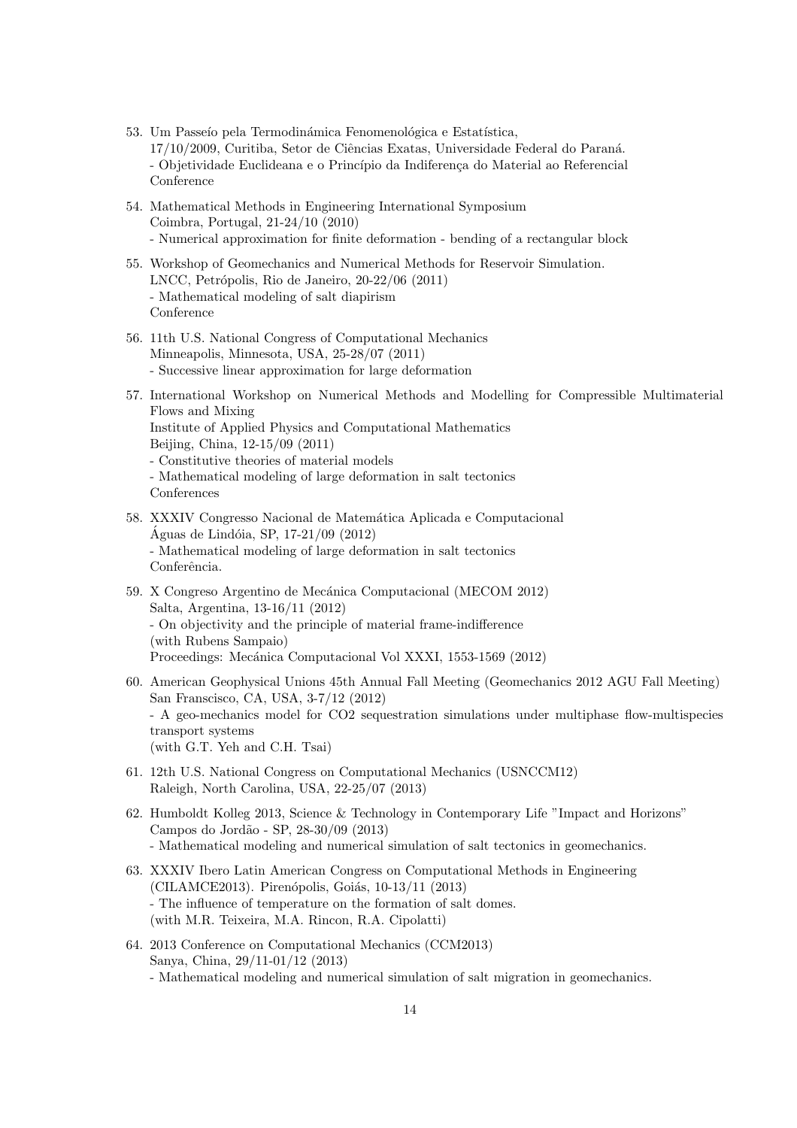- 53. Um Passeío pela Termodinámica Fenomenológica e Estatística, 17/10/2009, Curitiba, Setor de Ciências Exatas, Universidade Federal do Paraná. - Objetividade Euclideana e o Princípio da Indiferença do Material ao Referencial Conference
- 54. Mathematical Methods in Engineering International Symposium Coimbra, Portugal, 21-24/10 (2010) - Numerical approximation for finite deformation - bending of a rectangular block
- 55. Workshop of Geomechanics and Numerical Methods for Reservoir Simulation. LNCC, Petrópolis, Rio de Janeiro, 20-22/06 (2011) - Mathematical modeling of salt diapirism Conference
- 56. 11th U.S. National Congress of Computational Mechanics Minneapolis, Minnesota, USA, 25-28/07 (2011) - Successive linear approximation for large deformation
- 57. International Workshop on Numerical Methods and Modelling for Compressible Multimaterial Flows and Mixing Institute of Applied Physics and Computational Mathematics Beijing, China, 12-15/09 (2011) - Constitutive theories of material models - Mathematical modeling of large deformation in salt tectonics
	- Conferences
- 58. XXXIV Congresso Nacional de Matemática Aplicada e Computacional Águas de Lindóia, SP, 17-21/09  $(2012)$ - Mathematical modeling of large deformation in salt tectonics Conferência.
- 59. X Congreso Argentino de Mecánica Computacional (MECOM 2012) Salta, Argentina, 13-16/11 (2012) - On objectivity and the principle of material frame-indifference (with Rubens Sampaio) Proceedings: Mecánica Computacional Vol XXXI, 1553-1569 (2012)
- 60. American Geophysical Unions 45th Annual Fall Meeting (Geomechanics 2012 AGU Fall Meeting) San Franscisco, CA, USA, 3-7/12 (2012) - A geo-mechanics model for CO2 sequestration simulations under multiphase flow-multispecies transport systems (with G.T. Yeh and C.H. Tsai)
- 61. 12th U.S. National Congress on Computational Mechanics (USNCCM12) Raleigh, North Carolina, USA, 22-25/07 (2013)
- 62. Humboldt Kolleg 2013, Science & Technology in Contemporary Life "Impact and Horizons" Campos do Jord˜ao - SP, 28-30/09 (2013) - Mathematical modeling and numerical simulation of salt tectonics in geomechanics.
- 63. XXXIV Ibero Latin American Congress on Computational Methods in Engineering (CILAMCE2013). Pirenópolis, Goiás, 10-13/11 (2013) - The influence of temperature on the formation of salt domes. (with M.R. Teixeira, M.A. Rincon, R.A. Cipolatti)
- 64. 2013 Conference on Computational Mechanics (CCM2013) Sanya, China, 29/11-01/12 (2013) - Mathematical modeling and numerical simulation of salt migration in geomechanics.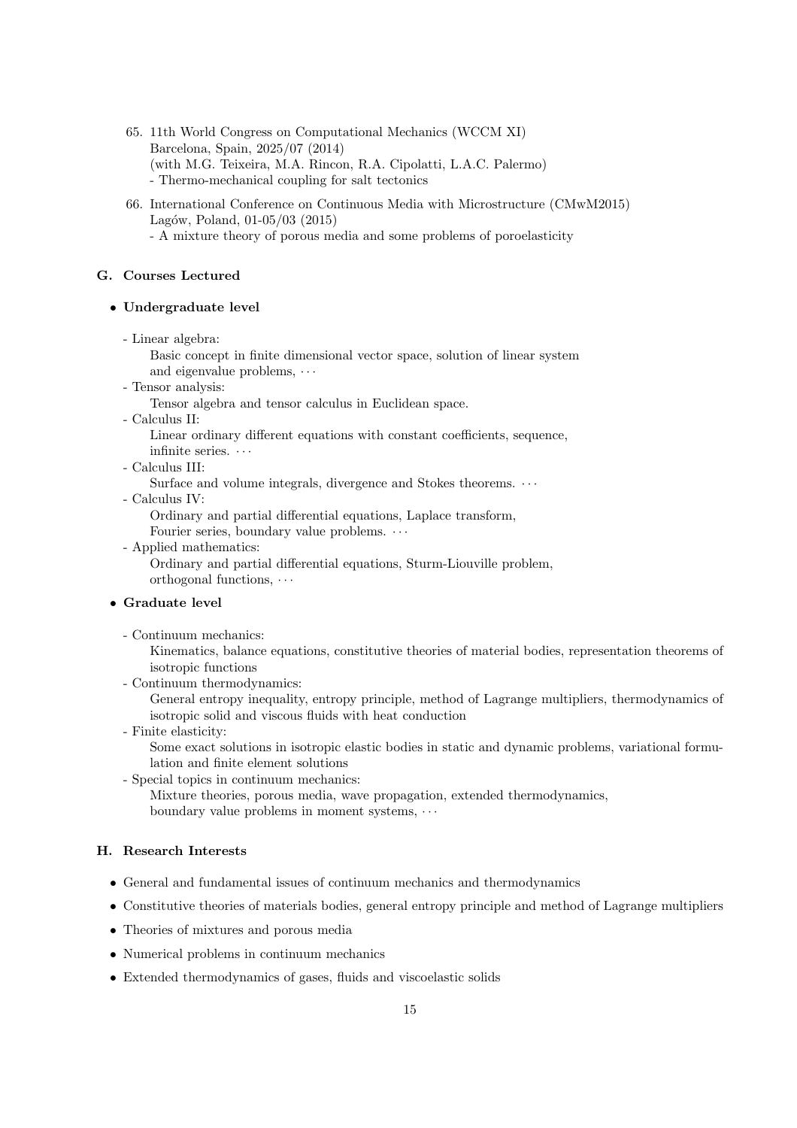- 65. 11th World Congress on Computational Mechanics (WCCM XI) Barcelona, Spain, 2025/07 (2014) (with M.G. Teixeira, M.A. Rincon, R.A. Cipolatti, L.A.C. Palermo) - Thermo-mechanical coupling for salt tectonics
- 66. International Conference on Continuous Media with Microstructure (CMwM2015) Lagów, Poland,  $01-05/03$  (2015)
	- A mixture theory of porous media and some problems of poroelasticity

## G. Courses Lectured

#### • Undergraduate level

- Linear algebra:

Basic concept in finite dimensional vector space, solution of linear system and eigenvalue problems,  $\cdots$ 

- Tensor analysis:

Tensor algebra and tensor calculus in Euclidean space.

- Calculus II:

Linear ordinary different equations with constant coefficients, sequence, infinite series.  $\cdots$ 

- Calculus III:

Surface and volume integrals, divergence and Stokes theorems.  $\cdots$ 

- Calculus IV:

Ordinary and partial differential equations, Laplace transform, Fourier series, boundary value problems.  $\cdots$ 

- Applied mathematics:

Ordinary and partial differential equations, Sturm-Liouville problem, orthogonal functions, · · ·

#### • Graduate level

- Continuum mechanics:

Kinematics, balance equations, constitutive theories of material bodies, representation theorems of isotropic functions

- Continuum thermodynamics:

General entropy inequality, entropy principle, method of Lagrange multipliers, thermodynamics of isotropic solid and viscous fluids with heat conduction

- Finite elasticity: Some exact solutions in isotropic elastic bodies in static and dynamic problems, variational formulation and finite element solutions
- Special topics in continuum mechanics:

Mixture theories, porous media, wave propagation, extended thermodynamics, boundary value problems in moment systems,  $\cdots$ 

## H. Research Interests

- General and fundamental issues of continuum mechanics and thermodynamics
- Constitutive theories of materials bodies, general entropy principle and method of Lagrange multipliers
- Theories of mixtures and porous media
- Numerical problems in continuum mechanics
- Extended thermodynamics of gases, fluids and viscoelastic solids